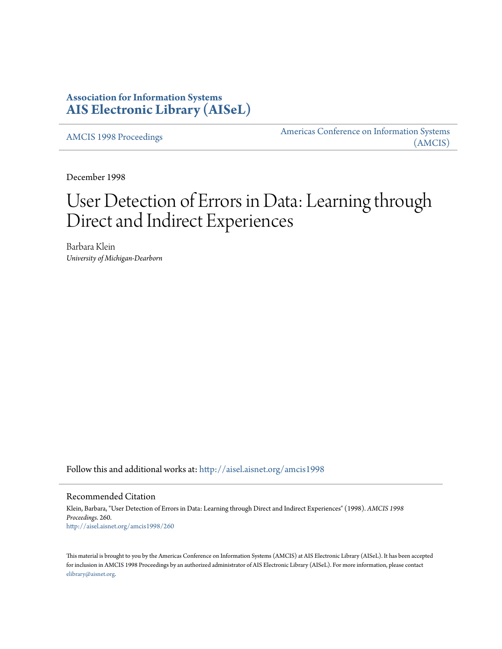## **Association for Information Systems [AIS Electronic Library \(AISeL\)](http://aisel.aisnet.org?utm_source=aisel.aisnet.org%2Famcis1998%2F260&utm_medium=PDF&utm_campaign=PDFCoverPages)**

[AMCIS 1998 Proceedings](http://aisel.aisnet.org/amcis1998?utm_source=aisel.aisnet.org%2Famcis1998%2F260&utm_medium=PDF&utm_campaign=PDFCoverPages)

[Americas Conference on Information Systems](http://aisel.aisnet.org/amcis?utm_source=aisel.aisnet.org%2Famcis1998%2F260&utm_medium=PDF&utm_campaign=PDFCoverPages) [\(AMCIS\)](http://aisel.aisnet.org/amcis?utm_source=aisel.aisnet.org%2Famcis1998%2F260&utm_medium=PDF&utm_campaign=PDFCoverPages)

December 1998

# User Detection of Errors in Data: Learning through Direct and Indirect Experiences

Barbara Klein *University of Michigan-Dearborn*

Follow this and additional works at: [http://aisel.aisnet.org/amcis1998](http://aisel.aisnet.org/amcis1998?utm_source=aisel.aisnet.org%2Famcis1998%2F260&utm_medium=PDF&utm_campaign=PDFCoverPages)

#### Recommended Citation

Klein, Barbara, "User Detection of Errors in Data: Learning through Direct and Indirect Experiences" (1998). *AMCIS 1998 Proceedings*. 260. [http://aisel.aisnet.org/amcis1998/260](http://aisel.aisnet.org/amcis1998/260?utm_source=aisel.aisnet.org%2Famcis1998%2F260&utm_medium=PDF&utm_campaign=PDFCoverPages)

This material is brought to you by the Americas Conference on Information Systems (AMCIS) at AIS Electronic Library (AISeL). It has been accepted for inclusion in AMCIS 1998 Proceedings by an authorized administrator of AIS Electronic Library (AISeL). For more information, please contact [elibrary@aisnet.org.](mailto:elibrary@aisnet.org%3E)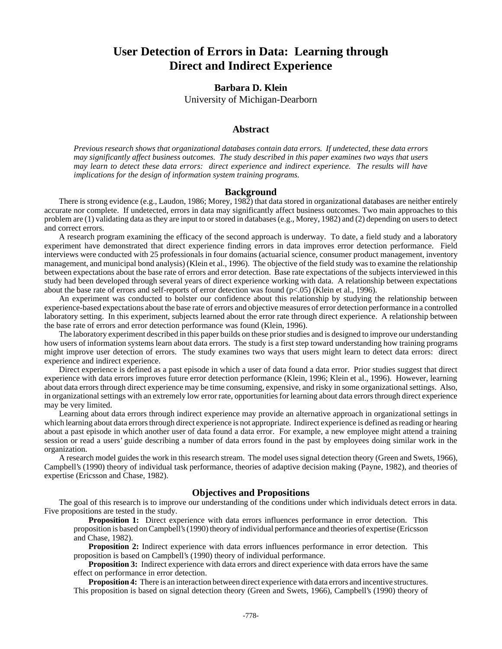## **User Detection of Errors in Data: Learning through Direct and Indirect Experience**

### **Barbara D. Klein**

University of Michigan-Dearborn

#### **Abstract**

*Previous research shows that organizational databases contain data errors. If undetected, these data errors may significantly affect business outcomes. The study described in this paper examines two ways that users may learn to detect these data errors: direct experience and indirect experience. The results will have implications for the design of information system training programs.* 

#### **Background**

There is strong evidence (e.g., Laudon, 1986; Morey, 1982) that data stored in organizational databases are neither entirely accurate nor complete. If undetected, errors in data may significantly affect business outcomes. Two main approaches to this problem are (1) validating data as they are input to or stored in databases (e.g., Morey, 1982) and (2) depending on users to detect and correct errors.

A research program examining the efficacy of the second approach is underway. To date, a field study and a laboratory experiment have demonstrated that direct experience finding errors in data improves error detection performance. Field interviews were conducted with 25 professionals in four domains (actuarial science, consumer product management, inventory management, and municipal bond analysis) (Klein et al., 1996). The objective of the field study was to examine the relationship between expectations about the base rate of errors and error detection. Base rate expectations of the subjects interviewed in this study had been developed through several years of direct experience working with data. A relationship between expectations about the base rate of errors and self-reports of error detection was found  $(p<.05)$  (Klein et al., 1996).

An experiment was conducted to bolster our confidence about this relationship by studying the relationship between experience-based expectations about the base rate of errors and objective measures of error detection performance in a controlled laboratory setting. In this experiment, subjects learned about the error rate through direct experience. A relationship between the base rate of errors and error detection performance was found (Klein, 1996).

The laboratory experiment described in this paper builds on these prior studies and is designed to improve our understanding how users of information systems learn about data errors. The study is a first step toward understanding how training programs might improve user detection of errors. The study examines two ways that users might learn to detect data errors: direct experience and indirect experience.

Direct experience is defined as a past episode in which a user of data found a data error. Prior studies suggest that direct experience with data errors improves future error detection performance (Klein, 1996; Klein et al., 1996). However, learning about data errors through direct experience may be time consuming, expensive, and risky in some organizational settings. Also, in organizational settings with an extremely low error rate, opportunities for learning about data errors through direct experience may be very limited.

Learning about data errors through indirect experience may provide an alternative approach in organizational settings in which learning about data errors through direct experience is not appropriate. Indirect experience is defined as reading or hearing about a past episode in which another user of data found a data error. For example, a new employee might attend a training session or read a users' guide describing a number of data errors found in the past by employees doing similar work in the organization.

A research model guides the work in this research stream. The model uses signal detection theory (Green and Swets, 1966), Campbell's (1990) theory of individual task performance, theories of adaptive decision making (Payne, 1982), and theories of expertise (Ericsson and Chase, 1982).

#### **Objectives and Propositions**

The goal of this research is to improve our understanding of the conditions under which individuals detect errors in data. Five propositions are tested in the study.

**Proposition 1:** Direct experience with data errors influences performance in error detection. This proposition is based on Campbell's (1990) theory of individual performance and theories of expertise (Ericsson and Chase, 1982).

**Proposition 2:** Indirect experience with data errors influences performance in error detection. This proposition is based on Campbell's (1990) theory of individual performance.

**Proposition 3:** Indirect experience with data errors and direct experience with data errors have the same effect on performance in error detection.

**Proposition 4:** There is an interaction between direct experience with data errors and incentive structures. This proposition is based on signal detection theory (Green and Swets, 1966), Campbell's (1990) theory of